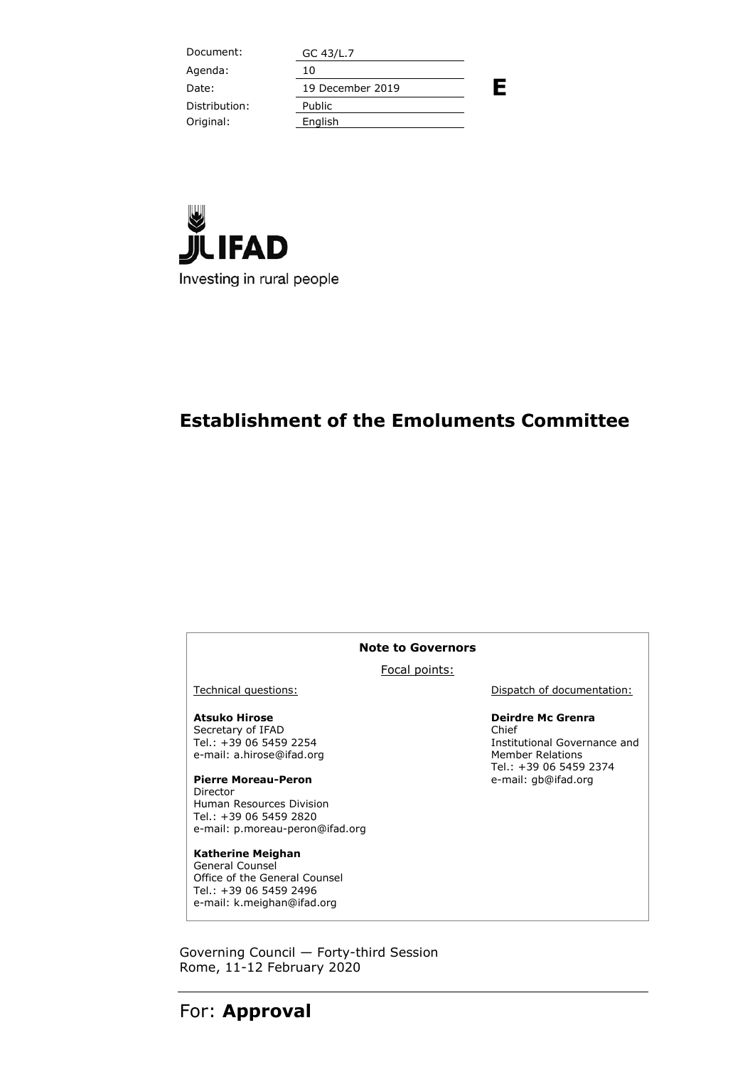Document: GC 43/L.7 **E** Agenda: 10 Date: 19 December 2019 Distribution: Public Original: English



## **Establishment of the Emoluments Committee**

#### **Note to Governors**

Focal points:

#### **Atsuko Hirose** Secretary of IFAD

Tel.: +39 06 5459 2254 e-mail: a.hirose@ifad.org

**Pierre Moreau-Peron** Director Human Resources Division Tel.: +39 06 5459 2820 e-mail: p.moreau-peron@ifad.org

**Katherine Meighan** General Counsel Office of the General Counsel Tel.: +39 06 5459 2496 e-mail: k.meighan@ifad.org

Technical questions: Dispatch of documentation:

#### **Deirdre Mc Grenra**

Chief Institutional Governance and Member Relations Tel.: +39 06 5459 2374 e-mail: gb@ifad.org

Governing Council — Forty-third Session Rome, 11-12 February 2020

## For: **Approval**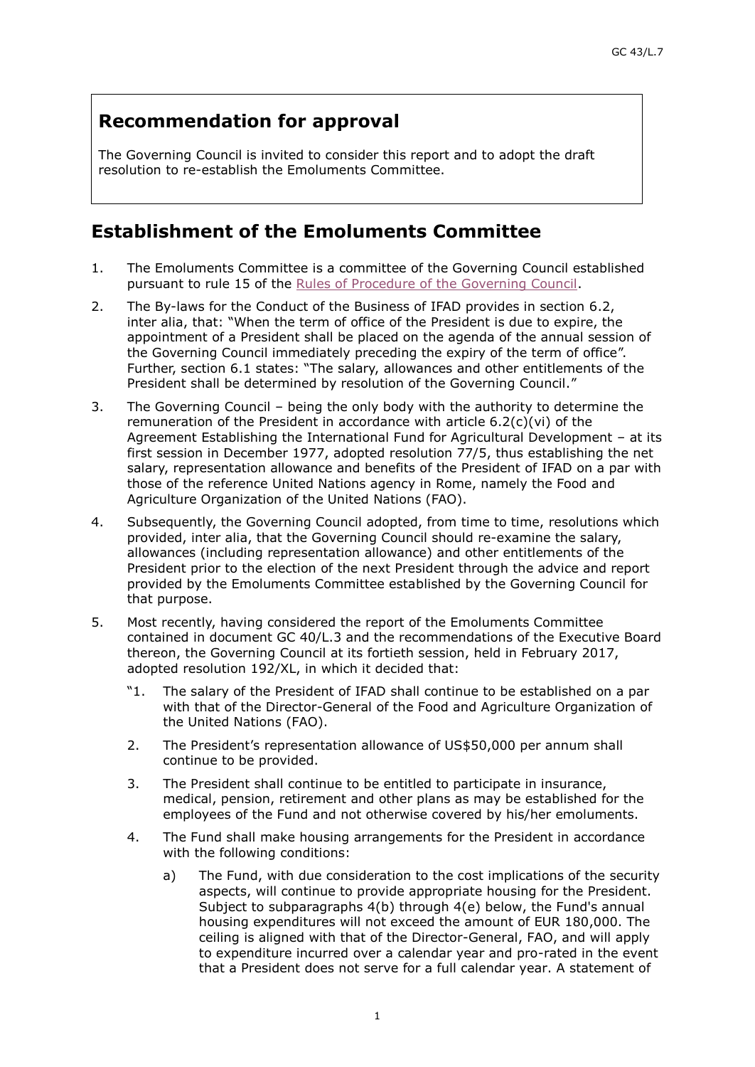# **Recommendation for approval**

The Governing Council is invited to consider this report and to adopt the draft resolution to re-establish the Emoluments Committee.

# **Establishment of the Emoluments Committee**

- 1. The Emoluments Committee is a committee of the Governing Council established pursuant to rule 15 of the [Rules of Procedure of the Governing Council.](https://www.ifad.org/documents/38711624/39421003/gc_e.pdf/d7b76fc2-fe7c-4fdd-9930-9eb2b094c4fb)
- 2. The By-laws for the Conduct of the Business of IFAD provides in section 6.2, inter alia, that: "When the term of office of the President is due to expire, the appointment of a President shall be placed on the agenda of the annual session of the Governing Council immediately preceding the expiry of the term of office". Further, section 6.1 states: "The salary, allowances and other entitlements of the President shall be determined by resolution of the Governing Council."
- 3. The Governing Council being the only body with the authority to determine the remuneration of the President in accordance with article 6.2(c)(vi) of the Agreement Establishing the International Fund for Agricultural Development – at its first session in December 1977, adopted resolution 77/5, thus establishing the net salary, representation allowance and benefits of the President of IFAD on a par with those of the reference United Nations agency in Rome, namely the Food and Agriculture Organization of the United Nations (FAO).
- 4. Subsequently, the Governing Council adopted, from time to time, resolutions which provided, inter alia, that the Governing Council should re-examine the salary, allowances (including representation allowance) and other entitlements of the President prior to the election of the next President through the advice and report provided by the Emoluments Committee established by the Governing Council for that purpose.
- 5. Most recently, having considered the report of the Emoluments Committee contained in document GC 40/L.3 and the recommendations of the Executive Board thereon, the Governing Council at its fortieth session, held in February 2017, adopted resolution 192/XL, in which it decided that:
	- "1. The salary of the President of IFAD shall continue to be established on a par with that of the Director-General of the Food and Agriculture Organization of the United Nations (FAO).
	- 2. The President's representation allowance of US\$50,000 per annum shall continue to be provided.
	- 3. The President shall continue to be entitled to participate in insurance, medical, pension, retirement and other plans as may be established for the employees of the Fund and not otherwise covered by his/her emoluments.
	- 4. The Fund shall make housing arrangements for the President in accordance with the following conditions:
		- a) The Fund, with due consideration to the cost implications of the security aspects, will continue to provide appropriate housing for the President. Subject to subparagraphs 4(b) through 4(e) below, the Fund's annual housing expenditures will not exceed the amount of EUR 180,000. The ceiling is aligned with that of the Director-General, FAO, and will apply to expenditure incurred over a calendar year and pro-rated in the event that a President does not serve for a full calendar year. A statement of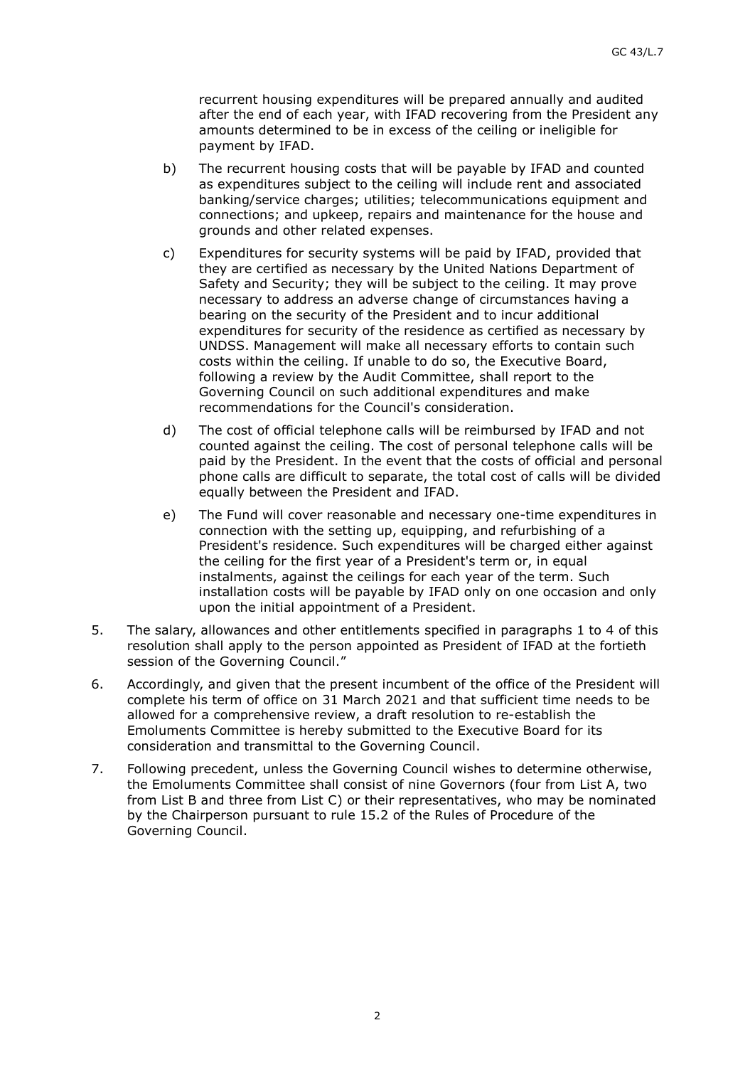recurrent housing expenditures will be prepared annually and audited after the end of each year, with IFAD recovering from the President any amounts determined to be in excess of the ceiling or ineligible for payment by IFAD.

- b) The recurrent housing costs that will be payable by IFAD and counted as expenditures subject to the ceiling will include rent and associated banking/service charges; utilities; telecommunications equipment and connections; and upkeep, repairs and maintenance for the house and grounds and other related expenses.
- c) Expenditures for security systems will be paid by IFAD, provided that they are certified as necessary by the United Nations Department of Safety and Security; they will be subject to the ceiling. It may prove necessary to address an adverse change of circumstances having a bearing on the security of the President and to incur additional expenditures for security of the residence as certified as necessary by UNDSS. Management will make all necessary efforts to contain such costs within the ceiling. If unable to do so, the Executive Board, following a review by the Audit Committee, shall report to the Governing Council on such additional expenditures and make recommendations for the Council's consideration.
- d) The cost of official telephone calls will be reimbursed by IFAD and not counted against the ceiling. The cost of personal telephone calls will be paid by the President. In the event that the costs of official and personal phone calls are difficult to separate, the total cost of calls will be divided equally between the President and IFAD.
- e) The Fund will cover reasonable and necessary one-time expenditures in connection with the setting up, equipping, and refurbishing of a President's residence. Such expenditures will be charged either against the ceiling for the first year of a President's term or, in equal instalments, against the ceilings for each year of the term. Such installation costs will be payable by IFAD only on one occasion and only upon the initial appointment of a President.
- 5. The salary, allowances and other entitlements specified in paragraphs 1 to 4 of this resolution shall apply to the person appointed as President of IFAD at the fortieth session of the Governing Council."
- 6. Accordingly, and given that the present incumbent of the office of the President will complete his term of office on 31 March 2021 and that sufficient time needs to be allowed for a comprehensive review, a draft resolution to re-establish the Emoluments Committee is hereby submitted to the Executive Board for its consideration and transmittal to the Governing Council.
- 7. Following precedent, unless the Governing Council wishes to determine otherwise, the Emoluments Committee shall consist of nine Governors (four from List A, two from List B and three from List C) or their representatives, who may be nominated by the Chairperson pursuant to rule 15.2 of the Rules of Procedure of the Governing Council.